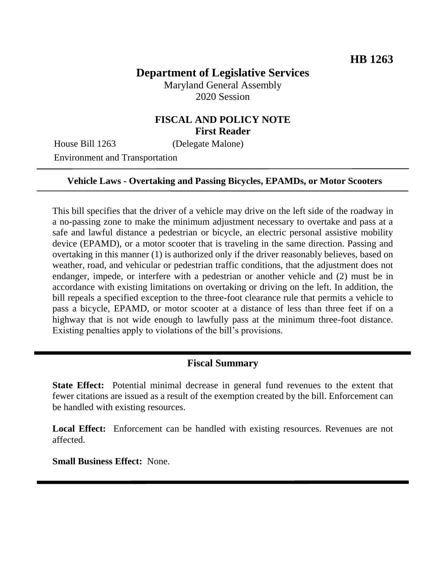# **Department of Legislative Services**

Maryland General Assembly 2020 Session

## **FISCAL AND POLICY NOTE First Reader**

House Bill 1263 (Delegate Malone)

Environment and Transportation

#### **Vehicle Laws - Overtaking and Passing Bicycles, EPAMDs, or Motor Scooters**

This bill specifies that the driver of a vehicle may drive on the left side of the roadway in a no-passing zone to make the minimum adjustment necessary to overtake and pass at a safe and lawful distance a pedestrian or bicycle, an electric personal assistive mobility device (EPAMD), or a motor scooter that is traveling in the same direction. Passing and overtaking in this manner (1) is authorized only if the driver reasonably believes, based on weather, road, and vehicular or pedestrian traffic conditions, that the adjustment does not endanger, impede, or interfere with a pedestrian or another vehicle and (2) must be in accordance with existing limitations on overtaking or driving on the left. In addition, the bill repeals a specified exception to the three-foot clearance rule that permits a vehicle to pass a bicycle, EPAMD, or motor scooter at a distance of less than three feet if on a highway that is not wide enough to lawfully pass at the minimum three-foot distance. Existing penalties apply to violations of the bill's provisions.

### **Fiscal Summary**

**State Effect:** Potential minimal decrease in general fund revenues to the extent that fewer citations are issued as a result of the exemption created by the bill. Enforcement can be handled with existing resources.

Local Effect: Enforcement can be handled with existing resources. Revenues are not affected.

**Small Business Effect:** None.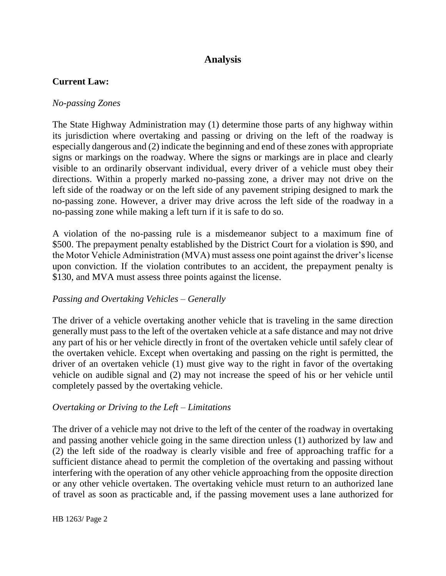## **Analysis**

### **Current Law:**

#### *No-passing Zones*

The State Highway Administration may (1) determine those parts of any highway within its jurisdiction where overtaking and passing or driving on the left of the roadway is especially dangerous and (2) indicate the beginning and end of these zones with appropriate signs or markings on the roadway. Where the signs or markings are in place and clearly visible to an ordinarily observant individual, every driver of a vehicle must obey their directions. Within a properly marked no-passing zone, a driver may not drive on the left side of the roadway or on the left side of any pavement striping designed to mark the no-passing zone. However, a driver may drive across the left side of the roadway in a no-passing zone while making a left turn if it is safe to do so.

A violation of the no-passing rule is a misdemeanor subject to a maximum fine of \$500. The prepayment penalty established by the District Court for a violation is \$90, and the Motor Vehicle Administration (MVA) must assess one point against the driver's license upon conviction. If the violation contributes to an accident, the prepayment penalty is \$130, and MVA must assess three points against the license.

### *Passing and Overtaking Vehicles – Generally*

The driver of a vehicle overtaking another vehicle that is traveling in the same direction generally must pass to the left of the overtaken vehicle at a safe distance and may not drive any part of his or her vehicle directly in front of the overtaken vehicle until safely clear of the overtaken vehicle. Except when overtaking and passing on the right is permitted, the driver of an overtaken vehicle (1) must give way to the right in favor of the overtaking vehicle on audible signal and (2) may not increase the speed of his or her vehicle until completely passed by the overtaking vehicle.

#### *Overtaking or Driving to the Left – Limitations*

The driver of a vehicle may not drive to the left of the center of the roadway in overtaking and passing another vehicle going in the same direction unless (1) authorized by law and (2) the left side of the roadway is clearly visible and free of approaching traffic for a sufficient distance ahead to permit the completion of the overtaking and passing without interfering with the operation of any other vehicle approaching from the opposite direction or any other vehicle overtaken. The overtaking vehicle must return to an authorized lane of travel as soon as practicable and, if the passing movement uses a lane authorized for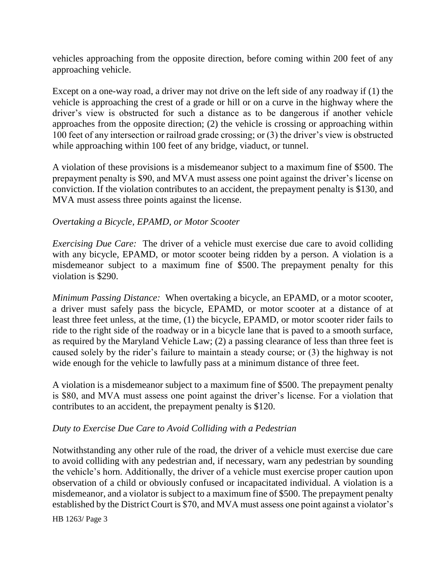vehicles approaching from the opposite direction, before coming within 200 feet of any approaching vehicle.

Except on a one-way road, a driver may not drive on the left side of any roadway if (1) the vehicle is approaching the crest of a grade or hill or on a curve in the highway where the driver's view is obstructed for such a distance as to be dangerous if another vehicle approaches from the opposite direction; (2) the vehicle is crossing or approaching within 100 feet of any intersection or railroad grade crossing; or (3) the driver's view is obstructed while approaching within 100 feet of any bridge, viaduct, or tunnel.

A violation of these provisions is a misdemeanor subject to a maximum fine of \$500. The prepayment penalty is \$90, and MVA must assess one point against the driver's license on conviction. If the violation contributes to an accident, the prepayment penalty is \$130, and MVA must assess three points against the license.

### *Overtaking a Bicycle, EPAMD, or Motor Scooter*

*Exercising Due Care:* The driver of a vehicle must exercise due care to avoid colliding with any bicycle, EPAMD, or motor scooter being ridden by a person. A violation is a misdemeanor subject to a maximum fine of \$500. The prepayment penalty for this violation is \$290.

*Minimum Passing Distance:* When overtaking a bicycle, an EPAMD, or a motor scooter, a driver must safely pass the bicycle, EPAMD, or motor scooter at a distance of at least three feet unless, at the time, (1) the bicycle, EPAMD, or motor scooter rider fails to ride to the right side of the roadway or in a bicycle lane that is paved to a smooth surface, as required by the Maryland Vehicle Law; (2) a passing clearance of less than three feet is caused solely by the rider's failure to maintain a steady course; or (3) the highway is not wide enough for the vehicle to lawfully pass at a minimum distance of three feet.

A violation is a misdemeanor subject to a maximum fine of \$500. The prepayment penalty is \$80, and MVA must assess one point against the driver's license. For a violation that contributes to an accident, the prepayment penalty is \$120.

#### *Duty to Exercise Due Care to Avoid Colliding with a Pedestrian*

Notwithstanding any other rule of the road, the driver of a vehicle must exercise due care to avoid colliding with any pedestrian and, if necessary, warn any pedestrian by sounding the vehicle's horn. Additionally, the driver of a vehicle must exercise proper caution upon observation of a child or obviously confused or incapacitated individual. A violation is a misdemeanor, and a violator is subject to a maximum fine of \$500. The prepayment penalty established by the District Court is \$70, and MVA must assess one point against a violator's

HB 1263/ Page 3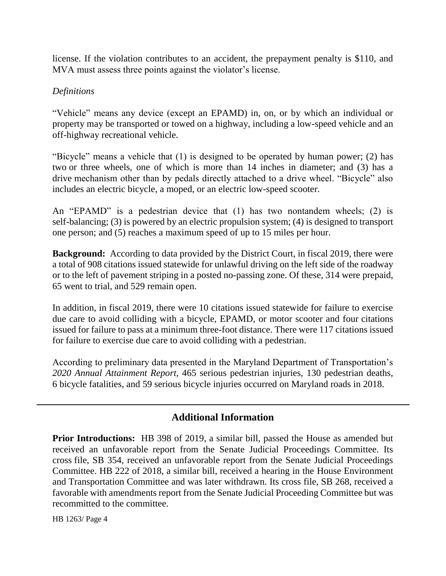license. If the violation contributes to an accident, the prepayment penalty is \$110, and MVA must assess three points against the violator's license.

### *Definitions*

"Vehicle" means any device (except an EPAMD) in, on, or by which an individual or property may be transported or towed on a highway, including a low-speed vehicle and an off-highway recreational vehicle.

"Bicycle" means a vehicle that (1) is designed to be operated by human power; (2) has two or three wheels, one of which is more than 14 inches in diameter; and (3) has a drive mechanism other than by pedals directly attached to a drive wheel. "Bicycle" also includes an electric bicycle, a moped, or an electric low-speed scooter.

An "EPAMD" is a pedestrian device that (1) has two nontandem wheels; (2) is self-balancing; (3) is powered by an electric propulsion system; (4) is designed to transport one person; and (5) reaches a maximum speed of up to 15 miles per hour.

**Background:** According to data provided by the District Court, in fiscal 2019, there were a total of 908 citations issued statewide for unlawful driving on the left side of the roadway or to the left of pavement striping in a posted no-passing zone. Of these, 314 were prepaid, 65 went to trial, and 529 remain open.

In addition, in fiscal 2019, there were 10 citations issued statewide for failure to exercise due care to avoid colliding with a bicycle, EPAMD, or motor scooter and four citations issued for failure to pass at a minimum three-foot distance. There were 117 citations issued for failure to exercise due care to avoid colliding with a pedestrian.

According to preliminary data presented in the Maryland Department of Transportation's *2020 Annual Attainment Report*, 465 serious pedestrian injuries, 130 pedestrian deaths, 6 bicycle fatalities, and 59 serious bicycle injuries occurred on Maryland roads in 2018.

## **Additional Information**

**Prior Introductions:** HB 398 of 2019, a similar bill, passed the House as amended but received an unfavorable report from the Senate Judicial Proceedings Committee. Its cross file, SB 354, received an unfavorable report from the Senate Judicial Proceedings Committee. HB 222 of 2018, a similar bill, received a hearing in the House Environment and Transportation Committee and was later withdrawn. Its cross file, SB 268, received a favorable with amendments report from the Senate Judicial Proceeding Committee but was recommitted to the committee.

HB 1263/ Page 4